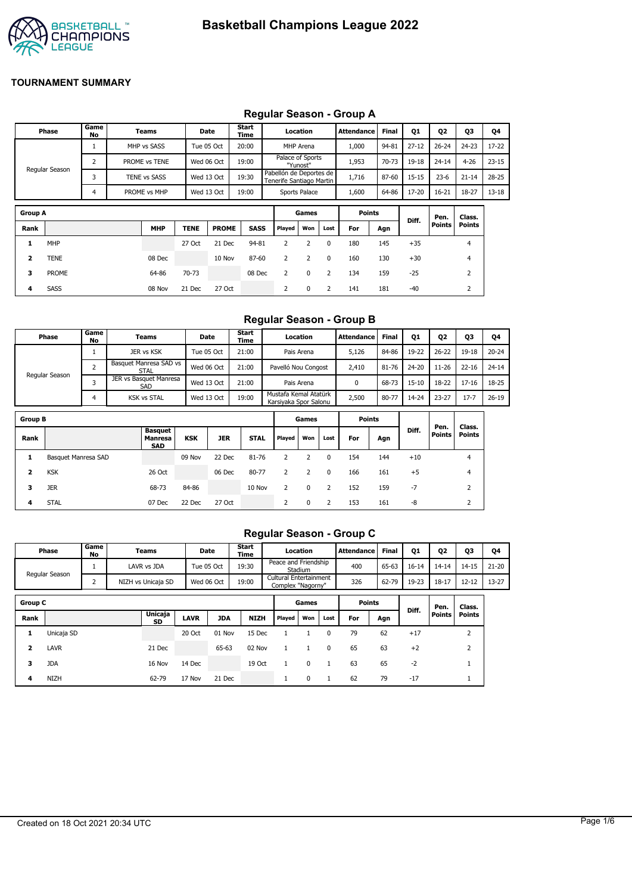

#### **Group A Games Points Diff. Pen. Points Class. Points Rank MHP TENE PROME SASS Played Won Lost For Agn 1** MHP 27 Oct 21 Dec 94-81 2 2 0 180 145 +35 4 **2** TENE 08 Dec 10 Nov 87-60 2 2 0 160 130 +30 4 **Phase Game No Teams Date Start Time Location Attendance Final Q1 Q2 Q3 Q4** Regular Season 1 MHP vs SASS Tue 05 Oct T 20:00 MHP Arena T 1,000 94-81 27-12 T 26-24 T 24-23 T 17-22 2 PROME vs TENE Wed 06 Oct 19:00 Palace of Sports "Yunost" Pabellón de Deportes de 1,953 70-73 19-18 24-14 4-26 23-15 3 TENE vs SASS Wed 13 Oct 19:30 Tenerife Santiago Martin 1,716 87-60 15-15 23-6 21-14 28-25 4 PROME vs MHP | Wed 13 Oct | 19:00 | Sports Palace | 1,600 | 64-86 | 17-20 | 16-21 | 18-27 | 13-18

**3** PROME 64-86 70-73 08 Dec 2 0 2 134 159 -25 2 **4** SASS 08 Nov 21 Dec 27 Oct 2 0 2 141 181 -40 2

### **Regular Season - Group A**

#### **Regular Season - Group B**

|                         | Phase               | Game<br>No     | Teams                                   |            | <b>Date</b> | Start<br>Time |                                                | Location    |              | <b>Attendance</b> | <b>Final</b> | 01        | <b>Q2</b>             | 03                      | Q4        |
|-------------------------|---------------------|----------------|-----------------------------------------|------------|-------------|---------------|------------------------------------------------|-------------|--------------|-------------------|--------------|-----------|-----------------------|-------------------------|-----------|
|                         |                     | 1              | JER vs KSK                              |            | Tue 05 Oct  | 21:00         |                                                | Pais Arena  |              | 5,126             | 84-86        | 19-22     | $26 - 22$             | $19 - 18$               | $20 - 24$ |
|                         |                     | $\overline{2}$ | Basquet Manresa SAD vs<br><b>STAL</b>   |            | Wed 06 Oct  | 21:00         | Pavelló Nou Congost                            |             |              | 2,410             | 81-76        | 24-20     | $11 - 26$             | $22 - 16$               | $24 - 14$ |
|                         | Regular Season      | 3              | JER vs Basquet Manresa<br>SAD           |            | Wed 13 Oct  | 21:00         |                                                | Pais Arena  |              | 0                 | 68-73        | $15 - 10$ | 18-22                 | $17 - 16$               | 18-25     |
|                         |                     | 4              | <b>KSK vs STAL</b>                      |            | Wed 13 Oct  | 19:00         | Mustafa Kemal Atatürk<br>Karsiyaka Spor Salonu |             |              | 2,500             | 80-77        | $14 - 24$ | $23 - 27$             | $17 - 7$                | $26 - 19$ |
| <b>Group B</b>          |                     |                |                                         |            |             |               |                                                | Games       |              | <b>Points</b>     |              |           |                       |                         |           |
| Rank                    |                     |                | <b>Basquet</b><br>Manresa<br><b>SAD</b> | <b>KSK</b> | <b>JER</b>  | <b>STAL</b>   | Played                                         | Won         | Lost         | For               | Agn          | Diff.     | Pen.<br><b>Points</b> | Class.<br><b>Points</b> |           |
| 1                       | Basquet Manresa SAD |                |                                         | 09 Nov     | 22 Dec      | 81-76         | 2                                              | 2           | $\mathbf{0}$ | 154               | 144          | $+10$     |                       | 4                       |           |
| $\overline{\mathbf{2}}$ | <b>KSK</b>          |                | 26 Oct                                  |            | 06 Dec      | 80-77         | 2                                              | 2           | 0            | 166               | 161          | $+5$      |                       | 4                       |           |
| 3                       | <b>JER</b>          |                | 68-73                                   | 84-86      |             | 10 Nov        | 2                                              | 0           | 2            | 152               | 159          | $-7$      |                       | 2                       |           |
| 4                       | <b>STAL</b>         |                | 07 Dec                                  | 22 Dec     | 27 Oct      |               | 2                                              | $\mathbf 0$ | 2            | 153               | 161          | -8        |                       | 2                       |           |

#### **Regular Season - Group C**

|                | Phase          | Game<br>No | <b>Teams</b>         |             | Date       | <b>Start</b><br>Time |              | Location                                    |          | Attendance    | <b>Final</b> | <b>Q1</b> | <b>Q2</b>     | 03             | 04        |
|----------------|----------------|------------|----------------------|-------------|------------|----------------------|--------------|---------------------------------------------|----------|---------------|--------------|-----------|---------------|----------------|-----------|
|                | Regular Season |            | LAVR vs JDA          |             | Tue 05 Oct | 19:30                |              | Peace and Friendship<br>Stadium             |          | 400           | 65-63        | $16 - 14$ | $14 - 14$     | $14 - 15$      | $21 - 20$ |
|                |                | h<br>∠     | NIZH vs Unicaja SD   |             | Wed 06 Oct | 19:00                |              | Cultural Entertainment<br>Complex "Nagorny" |          | 326           | 62-79        | 19-23     | $18 - 17$     | $12 - 12$      | $13 - 27$ |
| <b>Group C</b> |                |            |                      |             |            |                      |              | Games                                       |          | <b>Points</b> |              |           | Pen.          | Class.         |           |
| Rank           |                |            | <b>Unicaja</b><br>SD | <b>LAVR</b> | <b>JDA</b> | <b>NIZH</b>          | Played       | Won                                         | Lost     | For           | Agn          | Diff.     | <b>Points</b> | <b>Points</b>  |           |
| 1              | Unicaja SD     |            |                      | 20 Oct      | 01 Nov     | 15 Dec               |              |                                             | $\Omega$ | 79            | 62           | $+17$     |               | $\overline{2}$ |           |
| 2              | <b>LAVR</b>    |            | 21 Dec               |             | 65-63      | 02 Nov               |              | 1                                           | $\Omega$ | 65            | 63           | $+2$      |               | $\overline{2}$ |           |
| 3              | <b>JDA</b>     |            | 16 Nov               | 14 Dec      |            | 19 Oct               | $\mathbf{1}$ | 0                                           |          | 63            | 65           | $-2$      |               |                |           |
| 4              | <b>NIZH</b>    |            | 62-79                | 17 Nov      | 21 Dec     |                      | $\mathbf{1}$ | 0                                           |          | 62            | 79           | $-17$     |               |                |           |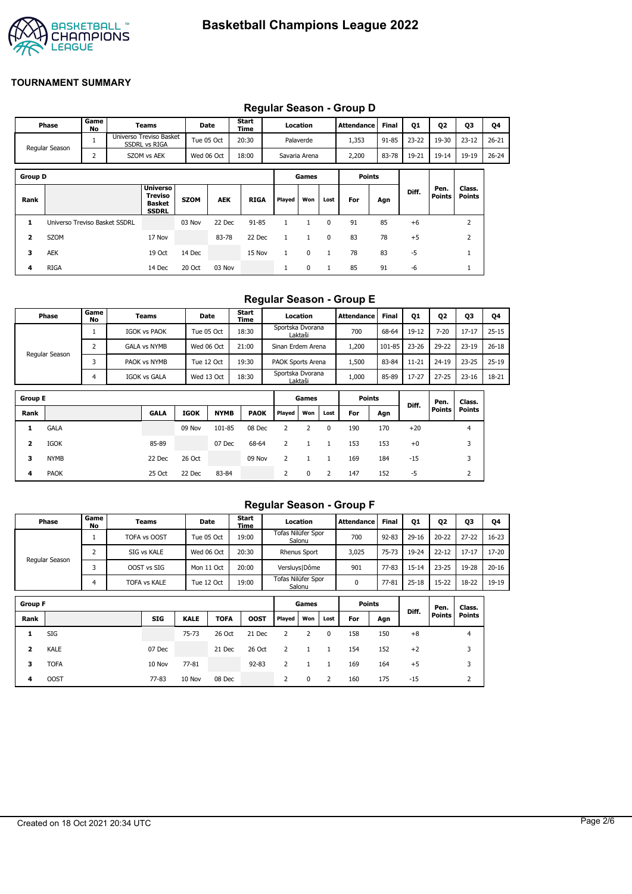

|                | Regular Season - Group D      |            |  |                                                             |             |            |               |              |               |              |                   |       |           |                |                  |           |
|----------------|-------------------------------|------------|--|-------------------------------------------------------------|-------------|------------|---------------|--------------|---------------|--------------|-------------------|-------|-----------|----------------|------------------|-----------|
|                | Phase                         | Game<br>No |  | Teams                                                       |             | Date       | Start<br>Time |              | Location      |              | <b>Attendance</b> | Final | <b>Q1</b> | Q2             | Q3               | Q4        |
|                | Regular Season                |            |  | Universo Treviso Basket<br><b>SSDRL vs RIGA</b>             |             | Tue 05 Oct | 20:30         |              | Palaverde     |              | 1,353             | 91-85 | $23 - 22$ | 19-30          | $23 - 12$        | $26 - 21$ |
|                |                               | 2          |  | SZOM vs AEK                                                 |             | Wed 06 Oct | 18:00         |              | Savaria Arena |              | 2,200             | 83-78 | 19-21     | $19 - 14$      | 19-19            | $26 - 24$ |
| <b>Group D</b> |                               |            |  |                                                             |             |            |               |              | Games         |              | <b>Points</b>     |       |           |                |                  |           |
| Rank           |                               |            |  | <b>Universo</b><br>Treviso<br><b>Basket</b><br><b>SSDRL</b> | <b>SZOM</b> | <b>AEK</b> | <b>RIGA</b>   | Played       | Won           | Lost         | For               | Agn   | Diff.     | Pen.<br>Points | Class.<br>Points |           |
| 1              | Universo Treviso Basket SSDRL |            |  |                                                             | 03 Nov      | 22 Dec     | $91 - 85$     | $\mathbf{1}$ | 1             | $\mathbf{0}$ | 91                | 85    | $+6$      |                | $\overline{2}$   |           |
| 2              | <b>SZOM</b>                   |            |  | 17 Nov                                                      |             | 83-78      | 22 Dec        | $\mathbf{1}$ | $\mathbf{1}$  | $\mathbf{0}$ | 83                | 78    | $+5$      |                | $\overline{2}$   |           |
| з              | <b>AEK</b>                    |            |  | 19 Oct                                                      | 14 Dec      |            | 15 Nov        | $\mathbf{1}$ | 0             | $\mathbf{1}$ | 78                | 83    | $-5$      |                | $\mathbf{1}$     |           |
| 4              | <b>RIGA</b>                   |            |  | 14 Dec                                                      | 20 Oct      | 03 Nov     |               | л.           | 0             | $\mathbf{1}$ | 85                | 91    | -6        |                |                  |           |

#### **Regular Season - Group D**

### **Regular Season - Group E**

| <b>Phase</b>   | Game '<br>No | Teams               | Date       | <b>Start</b><br>Time | Location                    | <b>Attendance</b> | <b>Final</b> | <b>01</b> | Q <sub>2</sub> | Q3        | Q4        |
|----------------|--------------|---------------------|------------|----------------------|-----------------------------|-------------------|--------------|-----------|----------------|-----------|-----------|
|                |              | <b>IGOK vs PAOK</b> | Tue 05 Oct | 18:30                | Sportska Dvorana<br>Laktaši | 700               | 68-64        | 19-12     | $7 - 20$       | $17 - 17$ | $25 - 15$ |
|                |              | <b>GALA vs NYMB</b> | Wed 06 Oct | 21:00                | Sinan Erdem Arena           | 1,200             | 101-85       | $23 - 26$ | 29-22          | $23 - 19$ | $26 - 18$ |
| Regular Season |              | PAOK vs NYMB        | Tue 12 Oct | 19:30                | <b>PAOK Sports Arena</b>    | 1,500             | 83-84        | $11 - 21$ | $24 - 19$      | $23 - 25$ | $25 - 19$ |
|                |              | <b>IGOK vs GALA</b> | Wed 13 Oct | 18:30                | Sportska Dvorana<br>Laktaši | 1,000             | 85-89        | $17 - 27$ | $27 - 25$      | $23 - 16$ | 18-21     |

| <b>Group E</b> |             |             |             |             |             |        |     |      | <b>Points</b> |     | Diff. | Pen.          | Class.        |
|----------------|-------------|-------------|-------------|-------------|-------------|--------|-----|------|---------------|-----|-------|---------------|---------------|
| Rank           |             | <b>GALA</b> | <b>IGOK</b> | <b>NYMB</b> | <b>PAOK</b> | Played | Won | Lost | For           | Agn |       | <b>Points</b> | <b>Points</b> |
|                | <b>GALA</b> |             | 09 Nov      | 101-85      | 08 Dec      |        |     | 0    | 190           | 170 | $+20$ |               | 4             |
| 2              | IGOK        | 85-89       |             | 07 Dec      | 68-64       |        |     |      | 153           | 153 | $+0$  |               | 3             |
| 3              | <b>NYMB</b> | 22 Dec      | 26 Oct      |             | 09 Nov      |        |     |      | 169           | 184 | $-15$ |               | 3             |
| 4              | <b>PAOK</b> | 25 Oct      | 22 Dec      | 83-84       |             | 2      | 0   | 2    | 147           | 152 | -5    |               | ∠             |

### **Regular Season - Group F**

|                | Phase          | Game<br>No | Teams               |             | Date        | Start<br>Time |                    | Location            |      | <b>Attendance</b> | <b>Final</b> | 01        | 02        | Q3             | Q4        |
|----------------|----------------|------------|---------------------|-------------|-------------|---------------|--------------------|---------------------|------|-------------------|--------------|-----------|-----------|----------------|-----------|
|                |                |            | TOFA vs OOST        |             | Tue 05 Oct  | 19:00         | Tofas Nilüfer Spor | Salonu              |      | 700               | $92 - 83$    | $29 - 16$ | $20 - 22$ | $27 - 22$      | $16 - 23$ |
|                |                | 2          | SIG vs KALE         |             | Wed 06 Oct  | 20:30         |                    | <b>Rhenus Sport</b> |      | 3,025             | 75-73        | 19-24     | $22 - 12$ | $17 - 17$      | 17-20     |
|                | Regular Season |            | OOST vs SIG         |             | Mon 11 Oct  | 20:00         | Versluys   Dôme    |                     |      | 901               | 77-83        | $15 - 14$ | $23 - 25$ | 19-28          | $20 - 16$ |
|                |                | 4          | <b>TOFA vs KALE</b> |             | Tue 12 Oct  | 19:00         | Tofas Nilüfer Spor | Salonu              |      | 0                 | 77-81        | $25 - 18$ | $15 - 22$ | 18-22          | 19-19     |
| <b>Group F</b> |                |            |                     |             |             |               |                    | Games               |      | <b>Points</b>     |              |           |           |                |           |
|                |                |            |                     |             |             |               |                    |                     |      |                   |              | Diff.     | Pen.      | Class.         |           |
| Rank           |                |            | <b>SIG</b>          | <b>KALE</b> | <b>TOFA</b> | <b>OOST</b>   | Played             | Won                 | Lost | For               | Agn          |           | Points    | Points         |           |
| 1              | SIG            |            |                     | $75 - 73$   | 26 Oct      | 21 Dec        | 2                  | 2                   | 0    | 158               | 150          | $+8$      |           | $\overline{4}$ |           |
| 2              | <b>KALE</b>    |            | 07 Dec              |             | 21 Dec      | 26 Oct        | 2                  |                     |      | 154               | 152          | $+2$      |           | 3              |           |
| 3              | <b>TOFA</b>    |            | 10 Nov              | 77-81       |             | $92 - 83$     | 2                  |                     |      | 169               | 164          | $+5$      |           | 3              |           |

**4** OOST 77-83 10 Nov 08 Dec 2 0 2 160 175 -15 2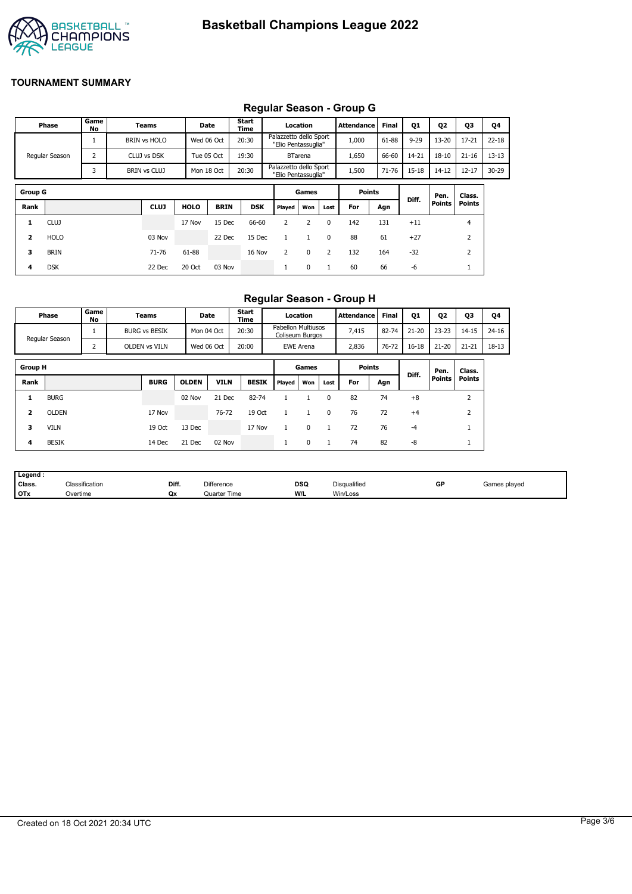

### **Regular Season - Group G**

| Game<br>Start<br>02<br>03<br><b>Final</b><br>Phase<br>01<br>Location<br><b>Attendance</b><br>Date<br>Teams<br>No<br>Time<br>Palazzetto dello Sport<br>20:30<br>$9 - 29$<br>1,000<br>61-88<br>$13 - 20$<br>$17 - 21$<br>Wed 06 Oct<br><b>BRIN vs HOLO</b><br>"Elio Pentassuglia"<br>$\overline{2}$<br>19:30<br>1,650<br>66-60<br>14-21<br>$18 - 10$<br>$21 - 16$<br>Regular Season<br>CLUJ vs DSK<br>Tue 05 Oct<br><b>BTarena</b><br>Palazzetto dello Sport<br>20:30<br>3<br>71-76<br>$14 - 12$<br>1,500<br>$15 - 18$<br>$12 - 17$<br>BRIN vs CLUJ<br>Mon 18 Oct<br>"Elio Pentassuglia" | Q4<br>$22 - 18$<br>$13 - 13$<br>$30 - 29$ |
|----------------------------------------------------------------------------------------------------------------------------------------------------------------------------------------------------------------------------------------------------------------------------------------------------------------------------------------------------------------------------------------------------------------------------------------------------------------------------------------------------------------------------------------------------------------------------------------|-------------------------------------------|
|                                                                                                                                                                                                                                                                                                                                                                                                                                                                                                                                                                                        |                                           |
|                                                                                                                                                                                                                                                                                                                                                                                                                                                                                                                                                                                        |                                           |
|                                                                                                                                                                                                                                                                                                                                                                                                                                                                                                                                                                                        |                                           |
|                                                                                                                                                                                                                                                                                                                                                                                                                                                                                                                                                                                        |                                           |
| <b>Group G</b><br><b>Points</b><br>Games<br>Class.<br>Pen.                                                                                                                                                                                                                                                                                                                                                                                                                                                                                                                             |                                           |
| Diff.<br><b>Points</b><br><b>Points</b><br><b>CLUJ</b><br><b>HOLO</b><br>Rank<br><b>BRIN</b><br><b>DSK</b><br>Won<br>For<br>Played<br>Lost<br>Agn                                                                                                                                                                                                                                                                                                                                                                                                                                      |                                           |
| 142<br>66-60<br>131<br><b>CLUJ</b><br>15 Dec<br>2<br>$\overline{2}$<br>$+11$<br>4<br>17 Nov<br>$\mathbf{0}$<br>1                                                                                                                                                                                                                                                                                                                                                                                                                                                                       |                                           |
| 88<br>61<br>$\overline{2}$<br>2<br><b>HOLO</b><br>03 Nov<br>22 Dec<br>15 Dec<br>$+27$<br>$\Omega$<br>$\mathbf{1}$<br>1                                                                                                                                                                                                                                                                                                                                                                                                                                                                 |                                           |
| 132<br>$-32$<br>3<br>71-76<br>61-88<br>164<br>2<br><b>BRIN</b><br>16 Nov<br>2<br>$\mathbf 0$<br>2                                                                                                                                                                                                                                                                                                                                                                                                                                                                                      |                                           |
| 66<br><b>DSK</b><br>20 Oct<br>0<br>60<br>-6<br>22 Dec<br>03 Nov<br>$\mathbf{1}$<br>4<br>л.                                                                                                                                                                                                                                                                                                                                                                                                                                                                                             |                                           |

## **Regular Season - Group H**

|                | Phase          | Game<br>No | Teams                |              | Date        | <b>Start</b><br>Time |                                       | Location         |          | Attendance    | <b>Final</b> | Q1        | Q <sub>2</sub> | Q3        | Q4        |
|----------------|----------------|------------|----------------------|--------------|-------------|----------------------|---------------------------------------|------------------|----------|---------------|--------------|-----------|----------------|-----------|-----------|
|                | Regular Season |            | <b>BURG vs BESIK</b> |              | Mon 04 Oct  | 20:30                | Pabellon Multiusos<br>Coliseum Burgos |                  |          | 7,415         | 82-74        | $21 - 20$ | $23 - 23$      | $14 - 15$ | $24 - 16$ |
|                |                |            | <b>OLDEN vs VILN</b> |              | Wed 06 Oct  | 20:00                |                                       | <b>EWE Arena</b> |          | 2,836         | 76-72        | 16-18     | $21 - 20$      | $21 - 21$ | $18 - 13$ |
| <b>Group H</b> |                |            |                      |              |             |                      |                                       | Games            |          | <b>Points</b> |              | Diff.     | Pen.           | Class.    |           |
| Rank           |                |            | <b>BURG</b>          | <b>OLDEN</b> | <b>VILN</b> | <b>BESIK</b>         | Played                                | Won              | Lost     | For           | Agn          |           | <b>Points</b>  | Points    |           |
|                | <b>BURG</b>    |            |                      | 02 Nov       | 21 Dec      | 82-74                |                                       |                  | 0        | 82            | 74           | $+8$      |                | h<br>∠    |           |
|                | <b>OLDEN</b>   |            | 17 Nov               |              | 76-72       | 19 Oct               |                                       |                  | $\Omega$ | 76            | 72           | $+4$      |                |           |           |

**3** VILN 19 Oct 13 Dec 17 Nov 1 0 1 72 76 -4 1 **4** BESIK 14 Dec 21 Dec 02 Nov 1 0 1 74 82 -8 1

| Legend:    |                |       |                   |     |              |    |              |
|------------|----------------|-------|-------------------|-----|--------------|----|--------------|
| Class.     | Classification | Diff. | <b>Difference</b> | DSQ | Disqualified | GP | Games played |
| <b>OTx</b> | Overtime       | Qx    | Quarter Time      | W/L | Win/Loss     |    |              |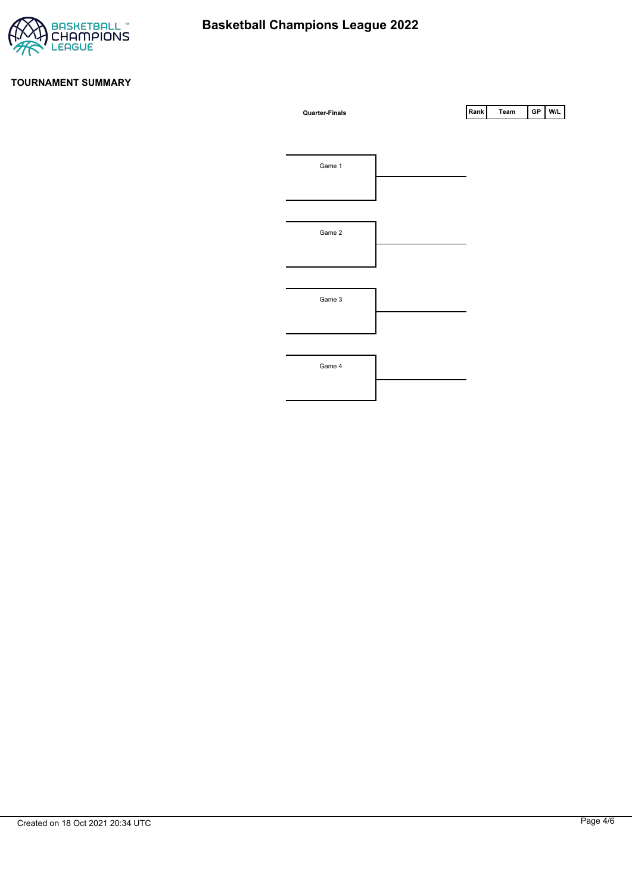

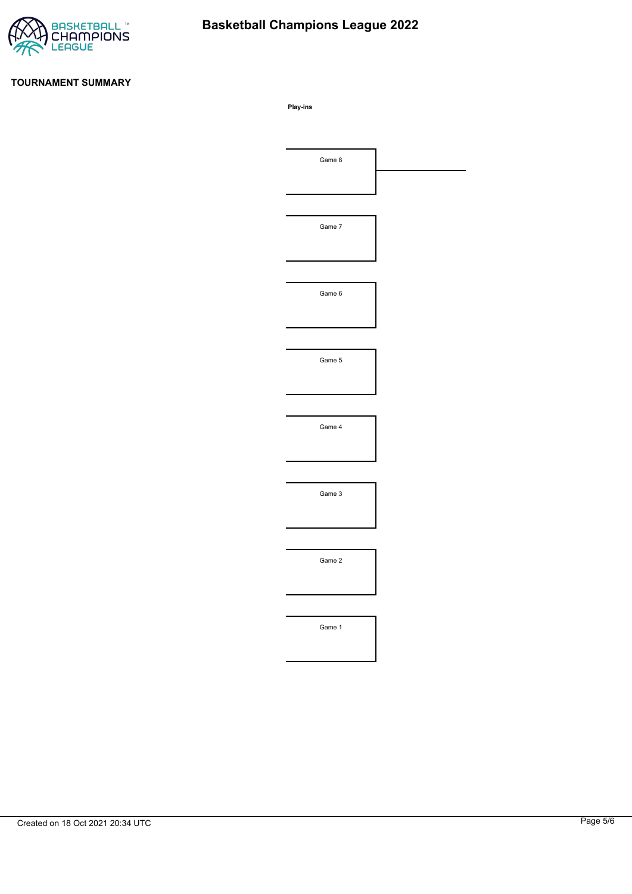

# **Basketball Champions League 2022**

#### **TOURNAMENT SUMMARY**

**Play-ins**

| Game 8 |  |
|--------|--|
|        |  |
|        |  |
| Game 7 |  |
|        |  |
|        |  |
| Game 6 |  |
|        |  |
|        |  |
| Game 5 |  |
|        |  |
|        |  |
| Game 4 |  |
|        |  |
|        |  |
| Game 3 |  |
|        |  |
|        |  |
| Game 2 |  |
|        |  |
|        |  |
|        |  |
| Game 1 |  |
|        |  |
|        |  |